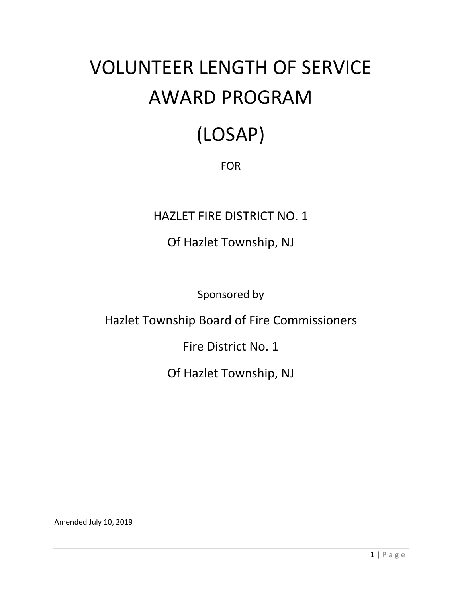# VOLUNTEER LENGTH OF SERVICE AWARD PROGRAM

# (LOSAP)

## FOR

## HAZLET FIRE DISTRICT NO. 1

## Of Hazlet Township, NJ

Sponsored by

## Hazlet Township Board of Fire Commissioners

## Fire District No. 1

## Of Hazlet Township, NJ

Amended July 10, 2019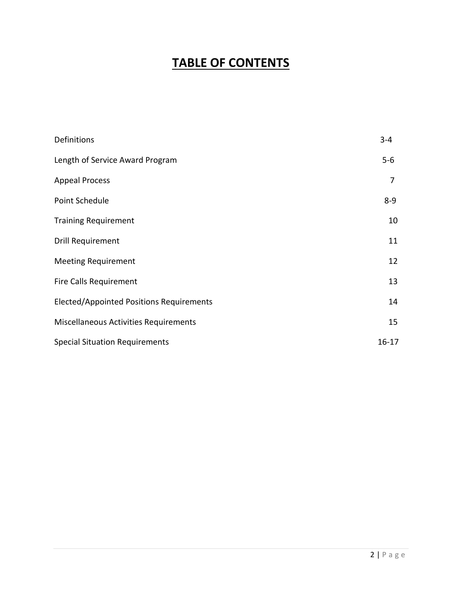## **TABLE OF CONTENTS**

| Definitions                                     | $3 - 4$   |
|-------------------------------------------------|-----------|
| Length of Service Award Program                 | $5-6$     |
| <b>Appeal Process</b>                           | 7         |
| Point Schedule                                  | $8 - 9$   |
| <b>Training Requirement</b>                     | 10        |
| Drill Requirement                               | 11        |
| <b>Meeting Requirement</b>                      | 12        |
| <b>Fire Calls Requirement</b>                   | 13        |
| <b>Elected/Appointed Positions Requirements</b> | 14        |
| Miscellaneous Activities Requirements           | 15        |
| <b>Special Situation Requirements</b>           | $16 - 17$ |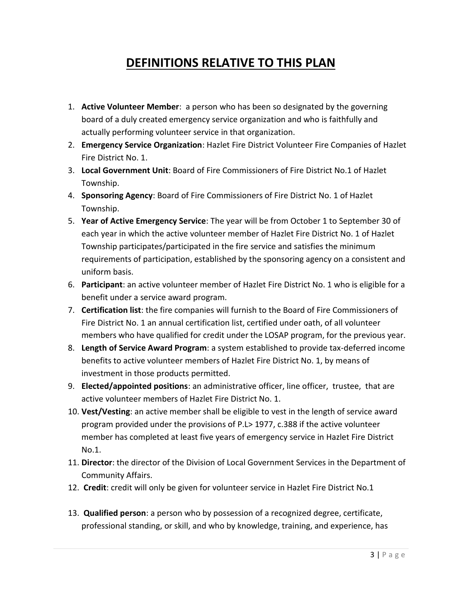## **DEFINITIONS RELATIVE TO THIS PLAN**

- 1. **Active Volunteer Member**: a person who has been so designated by the governing board of a duly created emergency service organization and who is faithfully and actually performing volunteer service in that organization.
- 2. **Emergency Service Organization**: Hazlet Fire District Volunteer Fire Companies of Hazlet Fire District No. 1.
- 3. **Local Government Unit**: Board of Fire Commissioners of Fire District No.1 of Hazlet Township.
- 4. **Sponsoring Agency**: Board of Fire Commissioners of Fire District No. 1 of Hazlet Township.
- 5. **Year of Active Emergency Service**: The year will be from October 1 to September 30 of each year in which the active volunteer member of Hazlet Fire District No. 1 of Hazlet Township participates/participated in the fire service and satisfies the minimum requirements of participation, established by the sponsoring agency on a consistent and uniform basis.
- 6. **Participant**: an active volunteer member of Hazlet Fire District No. 1 who is eligible for a benefit under a service award program.
- 7. **Certification list**: the fire companies will furnish to the Board of Fire Commissioners of Fire District No. 1 an annual certification list, certified under oath, of all volunteer members who have qualified for credit under the LOSAP program, for the previous year.
- 8. **Length of Service Award Program**: a system established to provide tax-deferred income benefits to active volunteer members of Hazlet Fire District No. 1, by means of investment in those products permitted.
- 9. **Elected/appointed positions**: an administrative officer, line officer, trustee, that are active volunteer members of Hazlet Fire District No. 1.
- 10. **Vest/Vesting**: an active member shall be eligible to vest in the length of service award program provided under the provisions of P.L> 1977, c.388 if the active volunteer member has completed at least five years of emergency service in Hazlet Fire District No.1.
- 11. **Director**: the director of the Division of Local Government Services in the Department of Community Affairs.
- 12. **Credit**: credit will only be given for volunteer service in Hazlet Fire District No.1
- 13. **Qualified person**: a person who by possession of a recognized degree, certificate, professional standing, or skill, and who by knowledge, training, and experience, has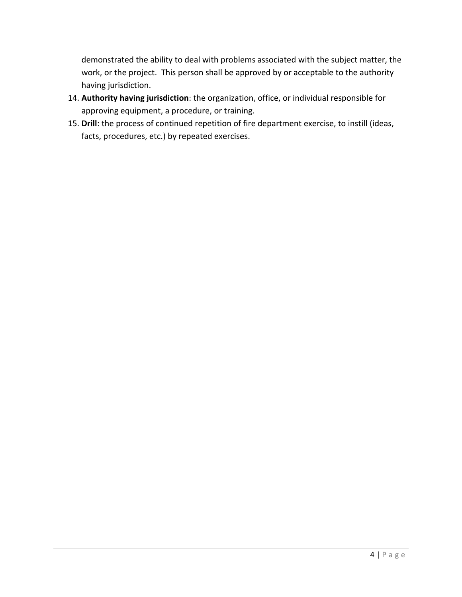demonstrated the ability to deal with problems associated with the subject matter, the work, or the project. This person shall be approved by or acceptable to the authority having jurisdiction.

- 14. **Authority having jurisdiction**: the organization, office, or individual responsible for approving equipment, a procedure, or training.
- 15. **Drill**: the process of continued repetition of fire department exercise, to instill (ideas, facts, procedures, etc.) by repeated exercises.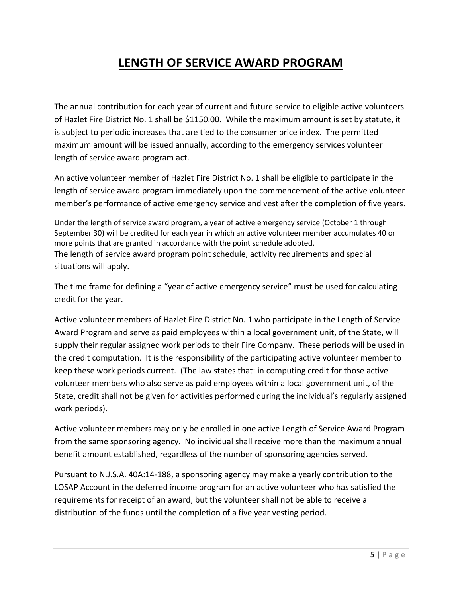## **LENGTH OF SERVICE AWARD PROGRAM**

The annual contribution for each year of current and future service to eligible active volunteers of Hazlet Fire District No. 1 shall be \$1150.00. While the maximum amount is set by statute, it is subject to periodic increases that are tied to the consumer price index. The permitted maximum amount will be issued annually, according to the emergency services volunteer length of service award program act.

An active volunteer member of Hazlet Fire District No. 1 shall be eligible to participate in the length of service award program immediately upon the commencement of the active volunteer member's performance of active emergency service and vest after the completion of five years.

Under the length of service award program, a year of active emergency service (October 1 through September 30) will be credited for each year in which an active volunteer member accumulates 40 or more points that are granted in accordance with the point schedule adopted. The length of service award program point schedule, activity requirements and special situations will apply.

The time frame for defining a "year of active emergency service" must be used for calculating credit for the year.

Active volunteer members of Hazlet Fire District No. 1 who participate in the Length of Service Award Program and serve as paid employees within a local government unit, of the State, will supply their regular assigned work periods to their Fire Company. These periods will be used in the credit computation. It is the responsibility of the participating active volunteer member to keep these work periods current. (The law states that: in computing credit for those active volunteer members who also serve as paid employees within a local government unit, of the State, credit shall not be given for activities performed during the individual's regularly assigned work periods).

Active volunteer members may only be enrolled in one active Length of Service Award Program from the same sponsoring agency. No individual shall receive more than the maximum annual benefit amount established, regardless of the number of sponsoring agencies served.

Pursuant to N.J.S.A. 40A:14-188, a sponsoring agency may make a yearly contribution to the LOSAP Account in the deferred income program for an active volunteer who has satisfied the requirements for receipt of an award, but the volunteer shall not be able to receive a distribution of the funds until the completion of a five year vesting period.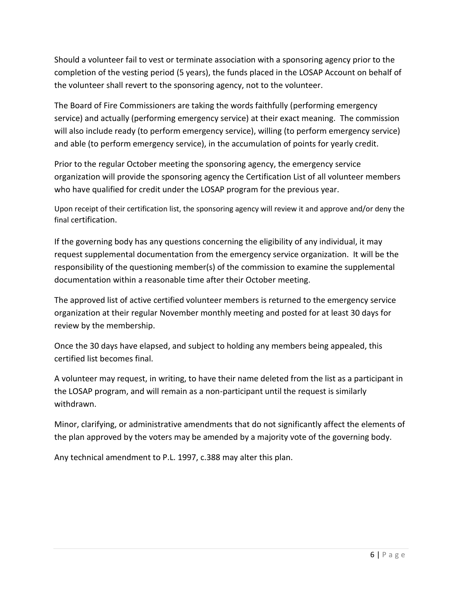Should a volunteer fail to vest or terminate association with a sponsoring agency prior to the completion of the vesting period (5 years), the funds placed in the LOSAP Account on behalf of the volunteer shall revert to the sponsoring agency, not to the volunteer.

The Board of Fire Commissioners are taking the words faithfully (performing emergency service) and actually (performing emergency service) at their exact meaning. The commission will also include ready (to perform emergency service), willing (to perform emergency service) and able (to perform emergency service), in the accumulation of points for yearly credit.

Prior to the regular October meeting the sponsoring agency, the emergency service organization will provide the sponsoring agency the Certification List of all volunteer members who have qualified for credit under the LOSAP program for the previous year.

Upon receipt of their certification list, the sponsoring agency will review it and approve and/or deny the final certification.

If the governing body has any questions concerning the eligibility of any individual, it may request supplemental documentation from the emergency service organization. It will be the responsibility of the questioning member(s) of the commission to examine the supplemental documentation within a reasonable time after their October meeting.

The approved list of active certified volunteer members is returned to the emergency service organization at their regular November monthly meeting and posted for at least 30 days for review by the membership.

Once the 30 days have elapsed, and subject to holding any members being appealed, this certified list becomes final.

A volunteer may request, in writing, to have their name deleted from the list as a participant in the LOSAP program, and will remain as a non-participant until the request is similarly withdrawn.

Minor, clarifying, or administrative amendments that do not significantly affect the elements of the plan approved by the voters may be amended by a majority vote of the governing body.

Any technical amendment to P.L. 1997, c.388 may alter this plan.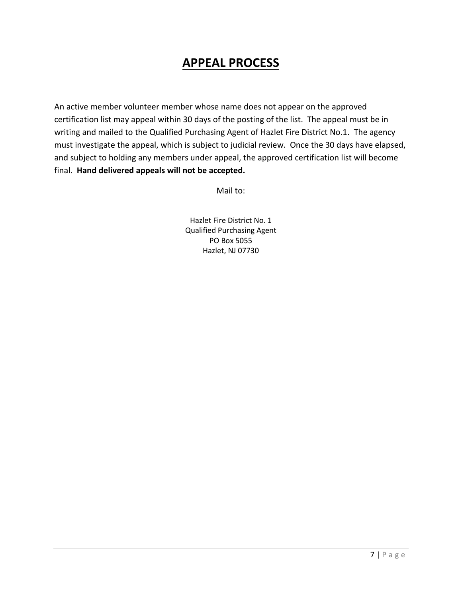## **APPEAL PROCESS**

An active member volunteer member whose name does not appear on the approved certification list may appeal within 30 days of the posting of the list. The appeal must be in writing and mailed to the Qualified Purchasing Agent of Hazlet Fire District No.1. The agency must investigate the appeal, which is subject to judicial review. Once the 30 days have elapsed, and subject to holding any members under appeal, the approved certification list will become final. **Hand delivered appeals will not be accepted.**

Mail to:

Hazlet Fire District No. 1 Qualified Purchasing Agent PO Box 5055 Hazlet, NJ 07730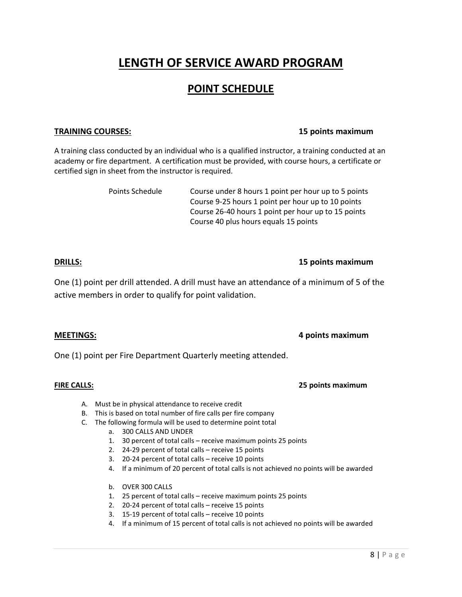## **LENGTH OF SERVICE AWARD PROGRAM**

### **POINT SCHEDULE**

#### **TRAINING COURSES: 15 points maximum**

A training class conducted by an individual who is a qualified instructor, a training conducted at an academy or fire department. A certification must be provided, with course hours, a certificate or certified sign in sheet from the instructor is required.

> Points Schedule Course under 8 hours 1 point per hour up to 5 points Course 9-25 hours 1 point per hour up to 10 points Course 26-40 hours 1 point per hour up to 15 points Course 40 plus hours equals 15 points

### **DRILLS: 15 points maximum**

One (1) point per drill attended. A drill must have an attendance of a minimum of 5 of the active members in order to qualify for point validation.

### **MEETINGS: 4 points maximum**

One (1) point per Fire Department Quarterly meeting attended.

#### **FIRE CALLS: 25 points maximum**

- A. Must be in physical attendance to receive credit
- B. This is based on total number of fire calls per fire company
- C. The following formula will be used to determine point total
	- a. 300 CALLS AND UNDER
	- 1. 30 percent of total calls receive maximum points 25 points
	- 2. 24-29 percent of total calls receive 15 points
	- 3. 20-24 percent of total calls receive 10 points
	- 4. If a minimum of 20 percent of total calls is not achieved no points will be awarded
	- b. OVER 300 CALLS
	- 1. 25 percent of total calls receive maximum points 25 points
	- 2. 20-24 percent of total calls receive 15 points
	- 3. 15-19 percent of total calls receive 10 points
	- 4. If a minimum of 15 percent of total calls is not achieved no points will be awarded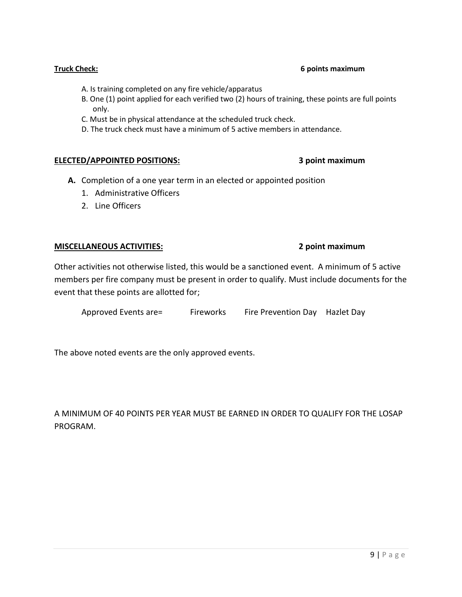#### **Truck Check: 6 points maximum**

- A. Is training completed on any fire vehicle/apparatus
- B. One (1) point applied for each verified two (2) hours of training, these points are full points only.
- C. Must be in physical attendance at the scheduled truck check.
- D. The truck check must have a minimum of 5 active members in attendance.

#### **ELECTED/APPOINTED POSITIONS: 3 point maximum**

- **A.** Completion of a one year term in an elected or appointed position
	- 1. Administrative Officers
	- 2. Line Officers

### **MISCELLANEOUS ACTIVITIES: 2 point maximum**

Other activities not otherwise listed, this would be a sanctioned event. A minimum of 5 active members per fire company must be present in order to qualify. Must include documents for the event that these points are allotted for;

| Approved Events are= | Fireworks | Fire Prevention Day Hazlet Day |  |
|----------------------|-----------|--------------------------------|--|
|----------------------|-----------|--------------------------------|--|

The above noted events are the only approved events.

A MINIMUM OF 40 POINTS PER YEAR MUST BE EARNED IN ORDER TO QUALIFY FOR THE LOSAP PROGRAM.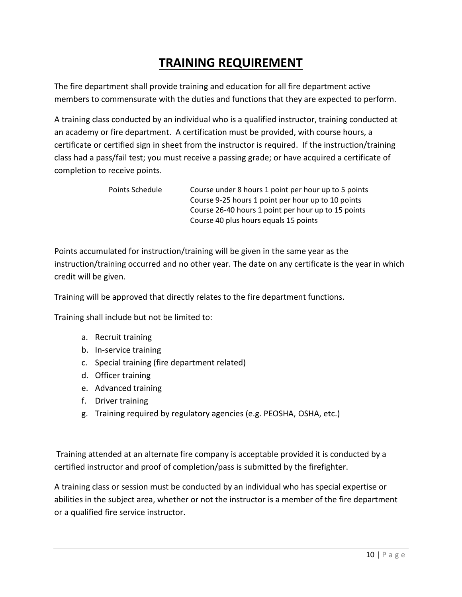## **TRAINING REQUIREMENT**

The fire department shall provide training and education for all fire department active members to commensurate with the duties and functions that they are expected to perform.

A training class conducted by an individual who is a qualified instructor, training conducted at an academy or fire department. A certification must be provided, with course hours, a certificate or certified sign in sheet from the instructor is required. If the instruction/training class had a pass/fail test; you must receive a passing grade; or have acquired a certificate of completion to receive points.

> Points Schedule Course under 8 hours 1 point per hour up to 5 points Course 9-25 hours 1 point per hour up to 10 points Course 26-40 hours 1 point per hour up to 15 points Course 40 plus hours equals 15 points

Points accumulated for instruction/training will be given in the same year as the instruction/training occurred and no other year. The date on any certificate is the year in which credit will be given.

Training will be approved that directly relates to the fire department functions.

Training shall include but not be limited to:

- a. Recruit training
- b. In-service training
- c. Special training (fire department related)
- d. Officer training
- e. Advanced training
- f. Driver training
- g. Training required by regulatory agencies (e.g. PEOSHA, OSHA, etc.)

Training attended at an alternate fire company is acceptable provided it is conducted by a certified instructor and proof of completion/pass is submitted by the firefighter.

A training class or session must be conducted by an individual who has special expertise or abilities in the subject area, whether or not the instructor is a member of the fire department or a qualified fire service instructor.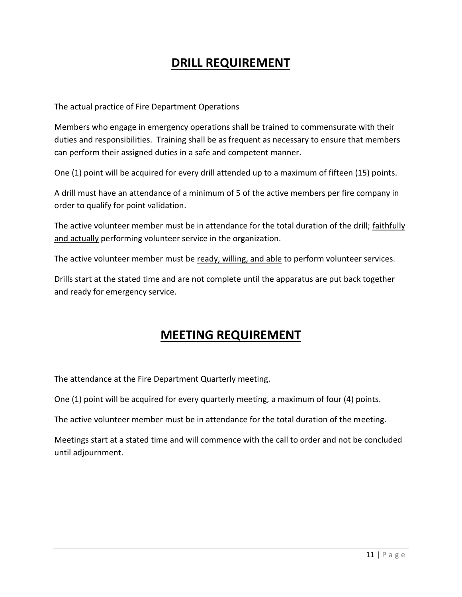## **DRILL REQUIREMENT**

The actual practice of Fire Department Operations

Members who engage in emergency operations shall be trained to commensurate with their duties and responsibilities. Training shall be as frequent as necessary to ensure that members can perform their assigned duties in a safe and competent manner.

One (1) point will be acquired for every drill attended up to a maximum of fifteen (15) points.

A drill must have an attendance of a minimum of 5 of the active members per fire company in order to qualify for point validation.

The active volunteer member must be in attendance for the total duration of the drill; faithfully and actually performing volunteer service in the organization.

The active volunteer member must be ready, willing, and able to perform volunteer services.

Drills start at the stated time and are not complete until the apparatus are put back together and ready for emergency service.

## **MEETING REQUIREMENT**

The attendance at the Fire Department Quarterly meeting.

One (1) point will be acquired for every quarterly meeting, a maximum of four (4) points.

The active volunteer member must be in attendance for the total duration of the meeting.

Meetings start at a stated time and will commence with the call to order and not be concluded until adjournment.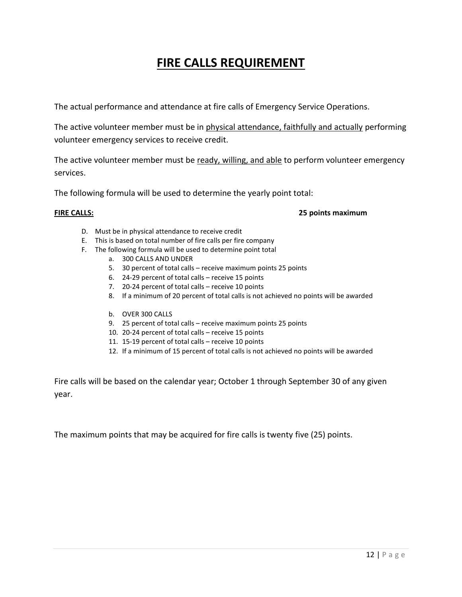## **FIRE CALLS REQUIREMENT**

The actual performance and attendance at fire calls of Emergency Service Operations.

The active volunteer member must be in physical attendance, faithfully and actually performing volunteer emergency services to receive credit.

The active volunteer member must be ready, willing, and able to perform volunteer emergency services.

The following formula will be used to determine the yearly point total:

#### **FIRE CALLS: 25 points maximum**

- D. Must be in physical attendance to receive credit
- E. This is based on total number of fire calls per fire company
- F. The following formula will be used to determine point total
	- a. 300 CALLS AND UNDER
	- 5. 30 percent of total calls receive maximum points 25 points
	- 6. 24-29 percent of total calls receive 15 points
	- 7. 20-24 percent of total calls receive 10 points
	- 8. If a minimum of 20 percent of total calls is not achieved no points will be awarded
	- b. OVER 300 CALLS
	- 9. 25 percent of total calls receive maximum points 25 points
	- 10. 20-24 percent of total calls receive 15 points
	- 11. 15-19 percent of total calls receive 10 points
	- 12. If a minimum of 15 percent of total calls is not achieved no points will be awarded

Fire calls will be based on the calendar year; October 1 through September 30 of any given year.

The maximum points that may be acquired for fire calls is twenty five (25) points.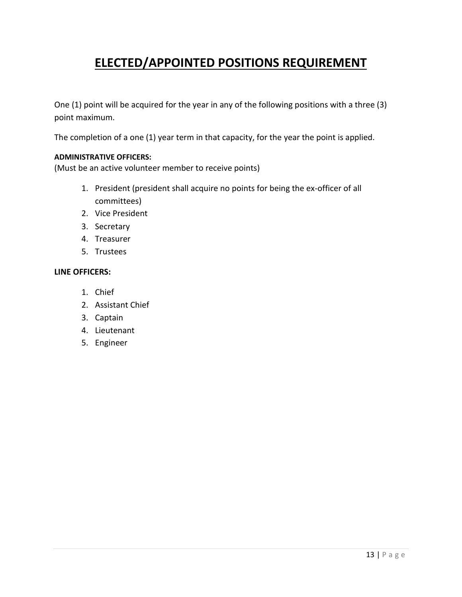## **ELECTED/APPOINTED POSITIONS REQUIREMENT**

One (1) point will be acquired for the year in any of the following positions with a three (3) point maximum.

The completion of a one (1) year term in that capacity, for the year the point is applied.

#### **ADMINISTRATIVE OFFICERS:**

(Must be an active volunteer member to receive points)

- 1. President (president shall acquire no points for being the ex-officer of all committees)
- 2. Vice President
- 3. Secretary
- 4. Treasurer
- 5. Trustees

#### **LINE OFFICERS:**

- 1. Chief
- 2. Assistant Chief
- 3. Captain
- 4. Lieutenant
- 5. Engineer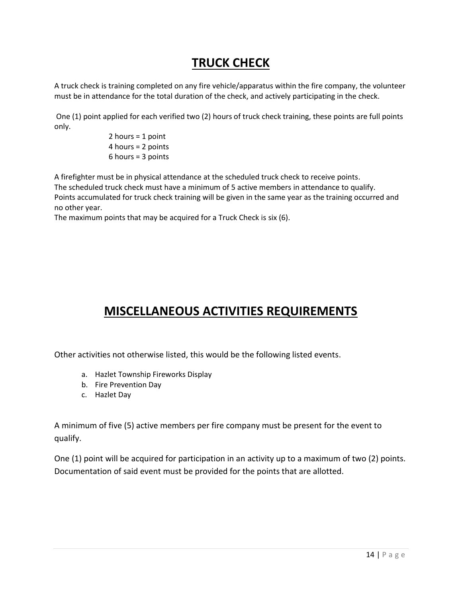## **TRUCK CHECK**

A truck check is training completed on any fire vehicle/apparatus within the fire company, the volunteer must be in attendance for the total duration of the check, and actively participating in the check.

One (1) point applied for each verified two (2) hours of truck check training, these points are full points only.

> 2 hours = 1 point 4 hours = 2 points 6 hours = 3 points

A firefighter must be in physical attendance at the scheduled truck check to receive points. The scheduled truck check must have a minimum of 5 active members in attendance to qualify. Points accumulated for truck check training will be given in the same year as the training occurred and no other year.

The maximum points that may be acquired for a Truck Check is six (6).

## **MISCELLANEOUS ACTIVITIES REQUIREMENTS**

Other activities not otherwise listed, this would be the following listed events.

- a. Hazlet Township Fireworks Display
- b. Fire Prevention Day
- c. Hazlet Day

A minimum of five (5) active members per fire company must be present for the event to qualify.

One (1) point will be acquired for participation in an activity up to a maximum of two (2) points. Documentation of said event must be provided for the points that are allotted.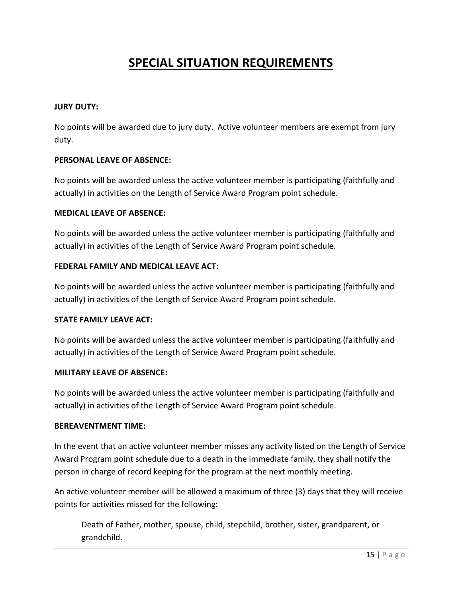## **SPECIAL SITUATION REQUIREMENTS**

#### **JURY DUTY:**

No points will be awarded due to jury duty. Active volunteer members are exempt from jury duty.

#### **PERSONAL LEAVE OF ABSENCE:**

No points will be awarded unless the active volunteer member is participating (faithfully and actually) in activities on the Length of Service Award Program point schedule.

#### **MEDICAL LEAVE OF ABSENCE:**

No points will be awarded unless the active volunteer member is participating (faithfully and actually) in activities of the Length of Service Award Program point schedule.

#### **FEDERAL FAMILY AND MEDICAL LEAVE ACT:**

No points will be awarded unless the active volunteer member is participating (faithfully and actually) in activities of the Length of Service Award Program point schedule.

### **STATE FAMILY LEAVE ACT:**

No points will be awarded unless the active volunteer member is participating (faithfully and actually) in activities of the Length of Service Award Program point schedule.

#### **MILITARY LEAVE OF ABSENCE:**

No points will be awarded unless the active volunteer member is participating (faithfully and actually) in activities of the Length of Service Award Program point schedule.

#### **BEREAVENTMENT TIME:**

In the event that an active volunteer member misses any activity listed on the Length of Service Award Program point schedule due to a death in the immediate family, they shall notify the person in charge of record keeping for the program at the next monthly meeting.

An active volunteer member will be allowed a maximum of three (3) days that they will receive points for activities missed for the following:

Death of Father, mother, spouse, child, stepchild, brother, sister, grandparent, or grandchild.